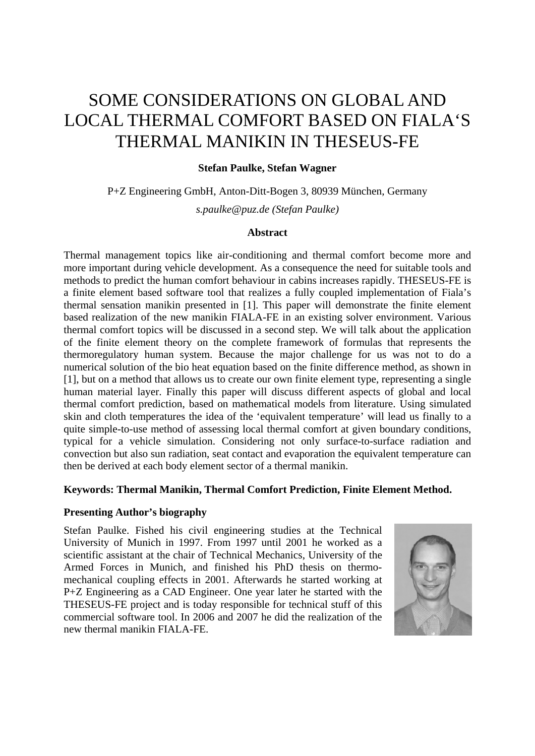# SOME CONSIDERATIONS ON GLOBAL AND LOCAL THERMAL COMFORT BASED ON FIALA'S THERMAL MANIKIN IN THESEUS-FE

## **Stefan Paulke, Stefan Wagner**

P+Z Engineering GmbH, Anton-Ditt-Bogen 3, 80939 München, Germany *s.paulke@puz.de (Stefan Paulke)* 

# **Abstract**

Thermal management topics like air-conditioning and thermal comfort become more and more important during vehicle development. As a consequence the need for suitable tools and methods to predict the human comfort behaviour in cabins increases rapidly. THESEUS-FE is a finite element based software tool that realizes a fully coupled implementation of Fiala's thermal sensation manikin presented in [1]. This paper will demonstrate the finite element based realization of the new manikin FIALA-FE in an existing solver environment. Various thermal comfort topics will be discussed in a second step. We will talk about the application of the finite element theory on the complete framework of formulas that represents the thermoregulatory human system. Because the major challenge for us was not to do a numerical solution of the bio heat equation based on the finite difference method, as shown in [1], but on a method that allows us to create our own finite element type, representing a single human material layer. Finally this paper will discuss different aspects of global and local thermal comfort prediction, based on mathematical models from literature. Using simulated skin and cloth temperatures the idea of the 'equivalent temperature' will lead us finally to a quite simple-to-use method of assessing local thermal comfort at given boundary conditions, typical for a vehicle simulation. Considering not only surface-to-surface radiation and convection but also sun radiation, seat contact and evaporation the equivalent temperature can then be derived at each body element sector of a thermal manikin.

# **Keywords: Thermal Manikin, Thermal Comfort Prediction, Finite Element Method.**

## **Presenting Author's biography**

Stefan Paulke. Fished his civil engineering studies at the Technical University of Munich in 1997. From 1997 until 2001 he worked as a scientific assistant at the chair of Technical Mechanics, University of the Armed Forces in Munich, and finished his PhD thesis on thermomechanical coupling effects in 2001. Afterwards he started working at P+Z Engineering as a CAD Engineer. One year later he started with the THESEUS-FE project and is today responsible for technical stuff of this commercial software tool. In 2006 and 2007 he did the realization of the new thermal manikin FIALA-FE.

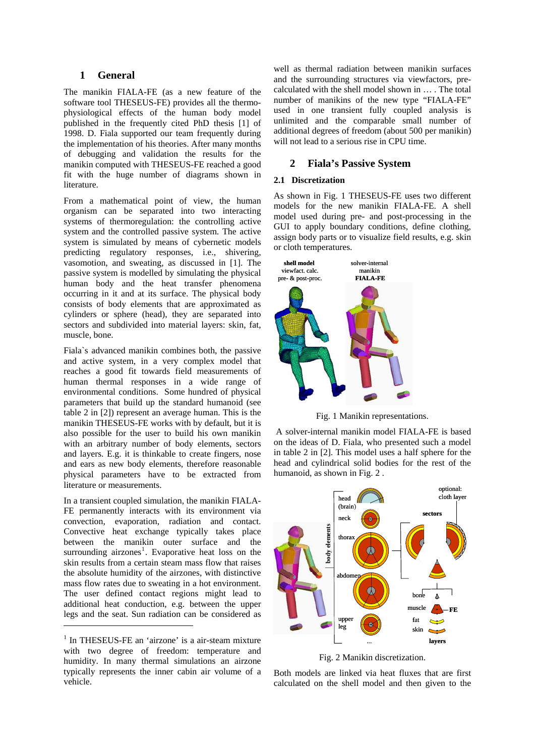## **1 General**

The manikin FIALA-FE (as a new feature of the software tool THESEUS-FE) provides all the thermophysiological effects of the human body model published in the frequently cited PhD thesis [1] of 1998. D. Fiala supported our team frequently during the implementation of his theories. After many months of debugging and validation the results for the manikin computed with THESEUS-FE reached a good fit with the huge number of diagrams shown in literature.

From a mathematical point of view, the human organism can be separated into two interacting systems of thermoregulation: the controlling active system and the controlled passive system. The active system is simulated by means of cybernetic models predicting regulatory responses, i.e., shivering, vasomotion, and sweating, as discussed in [1]. The passive system is modelled by simulating the physical human body and the heat transfer phenomena occurring in it and at its surface. The physical body consists of body elements that are approximated as cylinders or sphere (head), they are separated into sectors and subdivided into material layers: skin, fat, muscle, bone.

<span id="page-1-1"></span>Fiala`s advanced manikin combines both, the passive and active system, in a very complex model that reaches a good fit towards field measurements of human thermal responses in a wide range of environmental conditions. Some hundred of physical parameters that build up the standard humanoid (see table 2 in [2]) represent an average human. This is the manikin THESEUS-FE works with by default, but it is also possible for the user to build his own manikin with an arbitrary number of body elements, sectors and layers. E.g. it is thinkable to create fingers, nose and ears as new body elements, therefore reasonable physical parameters have to be extracted from literature or measurements.

In a transient coupled simulation, the manikin FIALA-FE permanently interacts with its environment via convection, evaporation, radiation and contact. Convective heat exchange typically takes place between the manikin outer surface and the surrounding airzones<sup>[1](#page-1-0)</sup>. Evaporative heat loss on the skin results from a certain steam mass flow that raises the absolute humidity of the airzones, with distinctive mass flow rates due to sweating in a hot environment. The user defined contact regions might lead to additional heat conduction, e.g. between the upper legs and the seat. Sun radiation can be considered as

-

well as thermal radiation between manikin surfaces and the surrounding structures via viewfactors, precalculated with the shell model shown in … . The total number of manikins of the new type "FIALA-FE" used in one transient fully coupled analysis is unlimited and the comparable small number of additional degrees of freedom (about 500 per manikin) will not lead to a serious rise in CPU time.

## **2 Fiala's Passive System**

#### **2.1 Discretization**

As shown in [Fig. 1](#page-1-1) THESEUS-FE uses two different models for the new manikin FIALA-FE. A shell model used during pre- and post-processing in the GUI to apply boundary conditions, define clothing, assign body parts or to visualize field results, e.g. skin or cloth temperatures.



Fig. 1 Manikin representations.

 A solver-internal manikin model FIALA-FE is based on the ideas of D. Fiala, who presented such a model in table 2 in [2]. This model uses a half sphere for the head and cylindrical solid bodies for the rest of the humanoid, as shown in [Fig. 2](#page-1-2) .



Fig. 2 Manikin discretization.

Both models are linked via heat fluxes that are first calculated on the shell model and then given to the

<span id="page-1-2"></span><span id="page-1-0"></span><sup>&</sup>lt;sup>1</sup> In THESEUS-FE an 'airzone' is a air-steam mixture with two degree of freedom: temperature and humidity. In many thermal simulations an airzone typically represents the inner cabin air volume of a vehicle.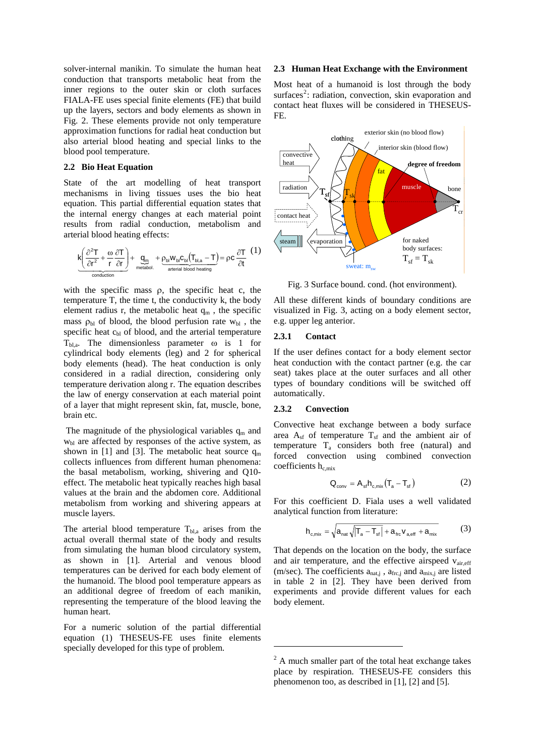solver-internal manikin. To simulate the human heat conduction that transports metabolic heat from the inner regions to the outer skin or cloth surfaces FIALA-FE uses special finite elements (FE) that build up the layers, sectors and body elements as shown in [Fig. 2.](#page-1-2) These elements provide not only temperature approximation functions for radial heat conduction but also arterial blood heating and special links to the blood pool temperature.

#### **2.2 Bio Heat Equation**

State of the art modelling of heat transport mechanisms in living tissues uses the bio heat equation. This partial differential equation states that the internal energy changes at each material point results from radial conduction, metabolism and arterial blood heating effects:

$$
\underbrace{k\bigg(\frac{\partial^2 T}{\partial r^2}+\frac{\omega}{r}\frac{\partial T}{\partial r}\bigg)}_{\text{conduction}}+\underbrace{q_m}_{\text{metabol.}}+\underbrace{p_{\text{bi}}w_{\text{bi}}c_{\text{bi}}\big(T_{\text{bi,a}}-T\big)}_{\text{arterial blood heating}}= \rho c \underbrace{\frac{\partial T}{\partial t}~~(1)
$$

<span id="page-2-1"></span>with the specific mass  $\rho$ , the specific heat c, the temperature  $T$ , the time t, the conductivity k, the body element radius r, the metabolic heat  $q_m$ , the specific mass  $\rho_{bl}$  of blood, the blood perfusion rate  $w_{bl}$ , the specific heat  $c<sub>bl</sub>$  of blood, and the arterial temperature  $T_{bl,a}$ . The dimensionless parameter  $\omega$  is 1 for cylindrical body elements (leg) and 2 for spherical body elements (head). The heat conduction is only considered in a radial direction, considering only temperature derivation along r. The equation describes the law of energy conservation at each material point of a layer that might represent skin, fat, muscle, bone, brain etc.

The magnitude of the physiological variables  $q_m$  and  $w<sub>bl</sub>$  are affected by responses of the active system, as shown in [1] and [3]. The metabolic heat source  $q_m$ collects influences from different human phenomena: the basal metabolism, working, shivering and Q10 effect. The metabolic heat typically reaches high basal values at the brain and the abdomen core. Additional metabolism from working and shivering appears at muscle layers.

The arterial blood temperature  $T<sub>bl,a</sub>$  arises from the actual overall thermal state of the body and results from simulating the human blood circulatory system, as shown in [1]. Arterial and venous blood temperatures can be derived for each body element of the humanoid. The blood pool temperature appears as an additional degree of freedom of each manikin, representing the temperature of the blood leaving the human heart.

<span id="page-2-0"></span>For a numeric solution of the partial differential equation (1) THESEUS-FE uses finite elements specially developed for this type of problem.

#### **2.3 Human Heat Exchange with the Environment**

Most heat of a humanoid is lost through the body surfaces<sup>[2](#page-2-0)</sup>: radiation, convection, skin evaporation and contact heat fluxes will be considered in THESEUS-FE.



Fig. 3 Surface bound. cond. (hot environment).

All these different kinds of boundary conditions are visualized in [Fig. 3](#page-2-1), acting on a body element sector, e.g. upper leg anterior.

#### **2.3.1 Contact**

If the user defines contact for a body element sector heat conduction with the contact partner (e.g. the car seat) takes place at the outer surfaces and all other types of boundary conditions will be switched off automatically.

#### **2.3.2 Convection**

1

Convective heat exchange between a body surface area  $A_{sf}$  of temperature  $T_{sf}$  and the ambient air of temperature  $T_a$  considers both free (natural) and forced convection using combined convection coefficients  $h_{c,mix}$ 

$$
Q_{conv} = A_{sf} h_{c,mix} (T_a - T_{sf})
$$
 (2)

For this coefficient D. Fiala uses a well validated analytical function from literature:

$$
h_{\text{c,mix}} = \sqrt{a_{\text{nat}}\sqrt{|T_a - T_{\text{sf}}|} + a_{\text{frc}}v_{\text{a,eff}} + a_{\text{mix}}}
$$
(3)

That depends on the location on the body, the surface and air temperature, and the effective airspeed  $v_{air,eff}$ (m/sec). The coefficients  $a_{nat,j}$ ,  $a_{frc,j}$  and  $a_{mix,j}$  are listed in table 2 in [2]. They have been derived from experiments and provide different values for each body element.

<sup>&</sup>lt;sup>2</sup> A much smaller part of the total heat exchange takes place by respiration. THESEUS-FE considers this phenomenon too, as described in [1], [2] and [5].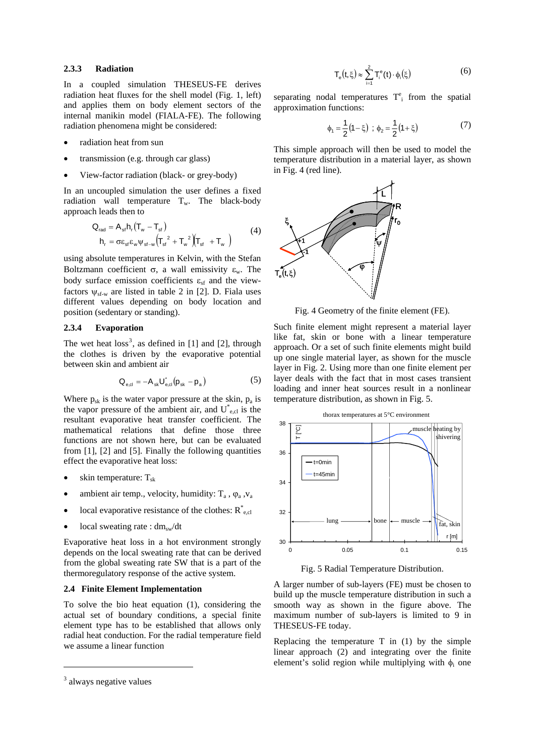#### **2.3.3 Radiation**

In a coupled simulation THESEUS-FE derives radiation heat fluxes for the shell model [\(Fig. 1,](#page-1-1) left) and applies them on body element sectors of the internal manikin model (FIALA-FE). The following radiation phenomena might be considered:

- radiation heat from sun
- transmission (e.g. through car glass)
- View-factor radiation (black- or grey-body)

In an uncoupled simulation the user defines a fixed radiation wall temperature  $T_w$ . The black-body approach leads then to

$$
Q_{rad} = A_{sf} h_r (T_w - T_{sf})
$$
  
\n
$$
h_r = \sigma \varepsilon_{st} \varepsilon_w \psi_{sf-w} (T_{sf}^2 + T_w^2) (T_{sf} + T_w)
$$
\n(4)

using absolute temperatures in Kelvin, with the Stefan Boltzmann coefficient  $\sigma$ , a wall emissivity  $\varepsilon_w$ . The body surface emission coefficients  $\varepsilon_{\rm sf}$  and the viewfactors  $\psi_{sf-w}$  are listed in table 2 in [2]. D. Fiala uses different values depending on body location and position (sedentary or standing).

## <span id="page-3-3"></span><span id="page-3-1"></span>**2.3.4 Evaporation**

The wet heat  $loss<sup>3</sup>$  $loss<sup>3</sup>$  $loss<sup>3</sup>$ , as defined in [1] and [2], through the clothes is driven by the evaporative potential between skin and ambient air

$$
Q_{e,cl} = -A_{sk} U_{e,cl}^* (p_{sk} - p_a)
$$
 (5)

Where  $p_{sk}$  is the water vapor pressure at the skin,  $p_a$  is the vapor pressure of the ambient air, and  $U^*_{e, cl}$  is the resultant evaporative heat transfer coefficient. The mathematical relations that define those three functions are not shown here, but can be evaluated from [1], [2] and [5]. Finally the following quantities effect the evaporative heat loss:

- skin temperature:  $T_{sk}$
- ambient air temp., velocity, humidity:  $T_a$ ,  $\varphi_a$ ,  $v_a$
- local evaporative resistance of the clothes:  $R^*_{e,cl}$
- local sweating rate : dm<sub>sw</sub>/dt

Evaporative heat loss in a hot environment strongly depends on the local sweating rate that can be derived from the global sweating rate SW that is a part of the thermoregulatory response of the active system.

#### <span id="page-3-2"></span>**2.4 Finite Element Implementation**

To solve the bio heat equation (1), considering the actual set of boundary conditions, a special finite element type has to be established that allows only radial heat conduction. For the radial temperature field we assume a linear function

-

$$
T_e(t,\xi) \approx \sum_{i=1}^2 T_i^e(t) \cdot \phi_i(\xi)
$$
 (6)

separating nodal temperatures  $T_{i}^e$  from the spatial approximation functions:

$$
\phi_1 = \frac{1}{2} (1 - \xi) \; ; \; \phi_2 = \frac{1}{2} (1 + \xi) \tag{7}
$$

This simple approach will then be used to model the temperature distribution in a material layer, as shown in [Fig. 4](#page-3-1) (red line).



Fig. 4 Geometry of the finite element (FE).

Such finite element might represent a material layer like fat, skin or bone with a linear temperature approach. Or a set of such finite elements might build up one single material layer, as shown for the muscle layer in [Fig. 2](#page-1-2). Using more than one finite element per layer deals with the fact that in most cases transient loading and inner heat sources result in a nonlinear temperature distribution, as shown in [Fig. 5](#page-3-2).



Fig. 5 Radial Temperature Distribution.

A larger number of sub-layers (FE) must be chosen to build up the muscle temperature distribution in such a smooth way as shown in the figure above. The maximum number of sub-layers is limited to 9 in THESEUS-FE today.

Replacing the temperature  $T$  in  $(1)$  by the simple linear approach (2) and integrating over the finite element's solid region while multiplying with  $\phi_i$  one

<span id="page-3-0"></span><sup>&</sup>lt;sup>3</sup> always negative values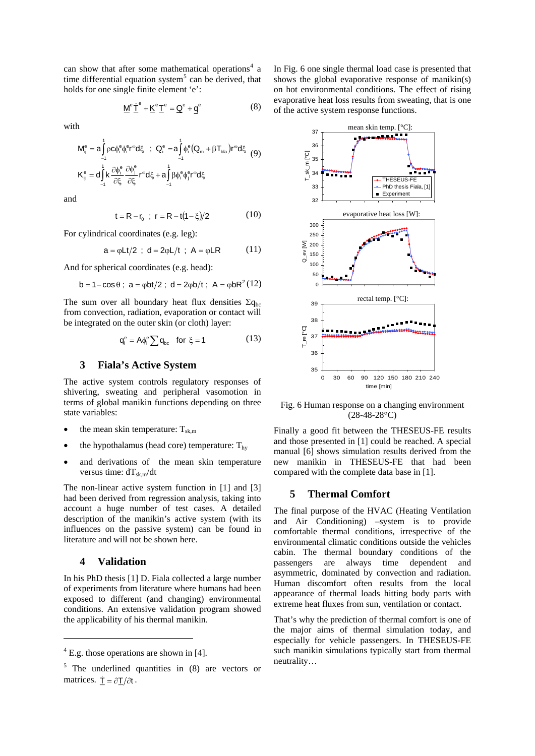can show that after some mathematical operations<sup>[4](#page-4-0)</sup> a time differential equation system<sup>[5](#page-4-1)</sup> can be derived, that holds for one single finite element 'e':

$$
\overline{W}_e \overline{I}_e + \overline{K}_e \overline{I}_e = \overline{O}_e + \overline{d}_e \tag{8}
$$

with

$$
\begin{array}{l} M_{ij}^{e}=a\displaystyle{\int\limits_{-1}^{1}}\rho c\varphi_{i}^{e}\varphi_{i}^{e}r^{\omega}d\xi\ \ ;\ \ Q_{i}^{e}=a\displaystyle{\int\limits_{-1}^{1}}\varphi_{i}^{e}\big(Q_{m}+\beta T_{bla}\big)r^{\omega}d\xi\ \ (9)\\ \displaystyle{K_{ij}^{e}=d\displaystyle{\int\limits_{-1}^{1}}k\frac{\partial\varphi_{i}^{e}}{\partial\xi}\frac{\partial\varphi_{j}^{e}}{\partial\xi}r^{\omega}d\xi+a\displaystyle{\int\limits_{-1}^{1}}\beta\varphi_{i}^{e}\varphi_{j}^{e}r^{\omega}d\xi} \end{array}
$$

and

$$
t = R - r_0 \; ; \; r = R - t(1 - \xi)/2 \tag{10}
$$

For cylindrical coordinates (e.g. leg):

$$
a = \varphi L t / 2
$$
;  $d = 2\varphi L / t$ ;  $A = \varphi L R$  (11)

And for spherical coordinates (e.g. head):

 $b = 1 - \cos \theta$ ;  $a = \frac{\phi b t}{2}$ ;  $d = \frac{2\phi b}{t}$ ;  $A = \frac{\phi b R^2}{12}$ 

The sum over all boundary heat flux densities  $\Sigma_{\text{q}_\text{bc}}$ from convection, radiation, evaporation or contact will be integrated on the outer skin (or cloth) layer:

$$
q_i^e = A \phi_i^e \sum q_{bc} \quad \text{for } \xi = 1 \tag{13}
$$

#### **3 Fiala's Active System**

<span id="page-4-2"></span>The active system controls regulatory responses of shivering, sweating and peripheral vasomotion in terms of global manikin functions depending on three state variables:

- the mean skin temperature:  $T_{sk,m}$
- the hypothalamus (head core) temperature:  $T<sub>hy</sub>$
- and derivations of the mean skin temperature versus time:  $dT_{\rm sk,m}/dt$

The non-linear active system function in [1] and [3] had been derived from regression analysis, taking into account a huge number of test cases. A detailed description of the manikin's active system (with its influences on the passive system) can be found in literature and will not be shown here.

#### **4 Validation**

-

In his PhD thesis [1] D. Fiala collected a large number of experiments from literature where humans had been exposed to different (and changing) environmental conditions. An extensive validation program showed the applicability of his thermal manikin.

In [Fig. 6](#page-4-2) one single thermal load case is presented that shows the global evaporative response of manikin(s) on hot environmental conditions. The effect of rising evaporative heat loss results from sweating, that is one of the active system response functions.



Fig. 6 Human response on a changing environment (28-48-28°C)

Finally a good fit between the THESEUS-FE results and those presented in [1] could be reached. A special manual [6] shows simulation results derived from the new manikin in THESEUS-FE that had been compared with the complete data base in [1].

#### **5 Thermal Comfort**

The final purpose of the HVAC (Heating Ventilation and Air Conditioning) –system is to provide comfortable thermal conditions, irrespective of the environmental climatic conditions outside the vehicles cabin. The thermal boundary conditions of the passengers are always time dependent and asymmetric, dominated by convection and radiation. Human discomfort often results from the local appearance of thermal loads hitting body parts with extreme heat fluxes from sun, ventilation or contact.

That's why the prediction of thermal comfort is one of the major aims of thermal simulation today, and especially for vehicle passengers. In THESEUS-FE such manikin simulations typically start from thermal neutrality…

<span id="page-4-0"></span> $4$  E.g. those operations are shown in [4].

<span id="page-4-1"></span><sup>&</sup>lt;sup>5</sup> The underlined quantities in (8) are vectors or matrices.  $\dot{\mathsf{T}} = \partial \mathsf{T}/\partial t$ .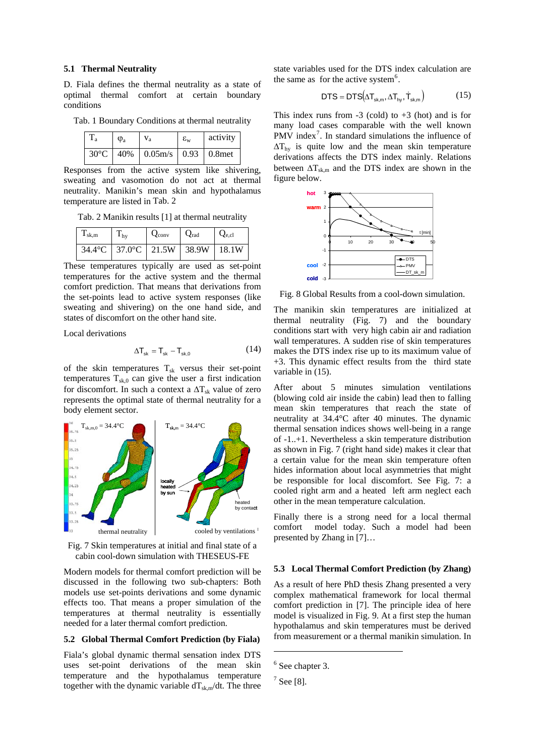#### **5.1 Thermal Neutrality**

D. Fiala defines the thermal neutrality as a state of optimal thermal comfort at certain boundary conditions

Tab. 1 Boundary Conditions at thermal neutrality

| $\Phi$ <sub>a</sub> | $V_a$                                          | $\varepsilon_{w}$ | activity |
|---------------------|------------------------------------------------|-------------------|----------|
|                     | $30^{\circ}$ C   40%   0.05m/s   0.93   0.8met |                   |          |

Responses from the active system like shivering, sweating and vasomotion do not act at thermal neutrality. Manikin's mean skin and hypothalamus temperature are listed in [Tab. 2](#page-5-0)

<span id="page-5-0"></span>Tab. 2 Manikin results [1] at thermal neutrality

| $T_{\rm sk,m}$ | 1 <sub>hv</sub>                                              | $Q_{\text{conv}}$ | $Q_{\text{rad}}$ | $Q_{e,cl}$ |
|----------------|--------------------------------------------------------------|-------------------|------------------|------------|
|                | $34.4^{\circ}$ C   37.0 $^{\circ}$ C   21.5W   38.9W   18.1W |                   |                  |            |

These temperatures typically are used as set-point temperatures for the active system and the thermal comfort prediction. That means that derivations from the set-points lead to active system responses (like sweating and shivering) on the one hand side, and states of discomfort on the other hand site.

Local derivations

$$
\Delta T_{sk} = T_{sk} - T_{sk,0} \tag{14}
$$

of the skin temperatures  $T_{sk}$  versus their set-point temperatures  $T_{sk,0}$  can give the user a first indication for discomfort. In such a context a  $\Delta T_{sk}$  value of zero represents the optimal state of thermal neutrality for a body element sector.



<span id="page-5-3"></span>Fig. 7 Skin temperatures at initial and final state of a cabin cool-down simulation with THESEUS-FE

Modern models for thermal comfort prediction will be discussed in the following two sub-chapters: Both models use set-points derivations and some dynamic effects too. That means a proper simulation of the temperatures at thermal neutrality is essentially needed for a later thermal comfort prediction.

#### **5.2 Global Thermal Comfort Prediction (by Fiala)**

<span id="page-5-2"></span><span id="page-5-1"></span>Fiala's global dynamic thermal sensation index DTS uses set-point derivations of the mean skin temperature and the hypothalamus temperature together with the dynamic variable  $dT_{\rm sk,m}/dt$ . The three state variables used for the DTS index calculation are the same as for the active system $6$ .

$$
DTS = DTS(\Delta T_{sk,m}, \Delta T_{hy}, \dot{T}_{sk,m})
$$
 (15)

This index runs from  $-3$  (cold) to  $+3$  (hot) and is for many load cases comparable with the well known PMV index<sup>[7](#page-5-2)</sup>. In standard simulations the influence of  $\Delta T_{\text{hv}}$  is quite low and the mean skin temperature derivations affects the DTS index mainly. Relations between  $\Delta T_{\rm sk,m}$  and the DTS index are shown in the figure below.



Fig. 8 Global Results from a cool-down simulation.

The manikin skin temperatures are initialized at thermal neutrality ([Fig. 7](#page-5-3)) and the boundary conditions start with very high cabin air and radiation wall temperatures. A sudden rise of skin temperatures makes the DTS index rise up to its maximum value of +3. This dynamic effect results from the third state variable in (15).

After about 5 minutes simulation ventilations (blowing cold air inside the cabin) lead then to falling mean skin temperatures that reach the state of neutrality at 34.4°C after 40 minutes. The dynamic thermal sensation indices shows well-being in a range of -1..+1. Nevertheless a skin temperature distribution as shown in [Fig. 7](#page-5-3) (right hand side) makes it clear that a certain value for the mean skin temperature often hides information about local asymmetries that might be responsible for local discomfort. See [Fig. 7:](#page-5-3) a cooled right arm and a heated left arm neglect each other in the mean temperature calculation.

Finally there is a strong need for a local thermal comfort model today. Such a model had been presented by Zhang in [7]…

#### **5.3 Local Thermal Comfort Prediction (by Zhang)**

As a result of here PhD thesis Zhang presented a very complex mathematical framework for local thermal comfort prediction in [7]. The principle idea of here model is visualized in [Fig. 9](#page-6-0). At a first step the human hypothalamus and skin temperatures must be derived from measurement or a thermal manikin simulation. In

-

<sup>6</sup> See chapter 3.

 $^7$  See [8].